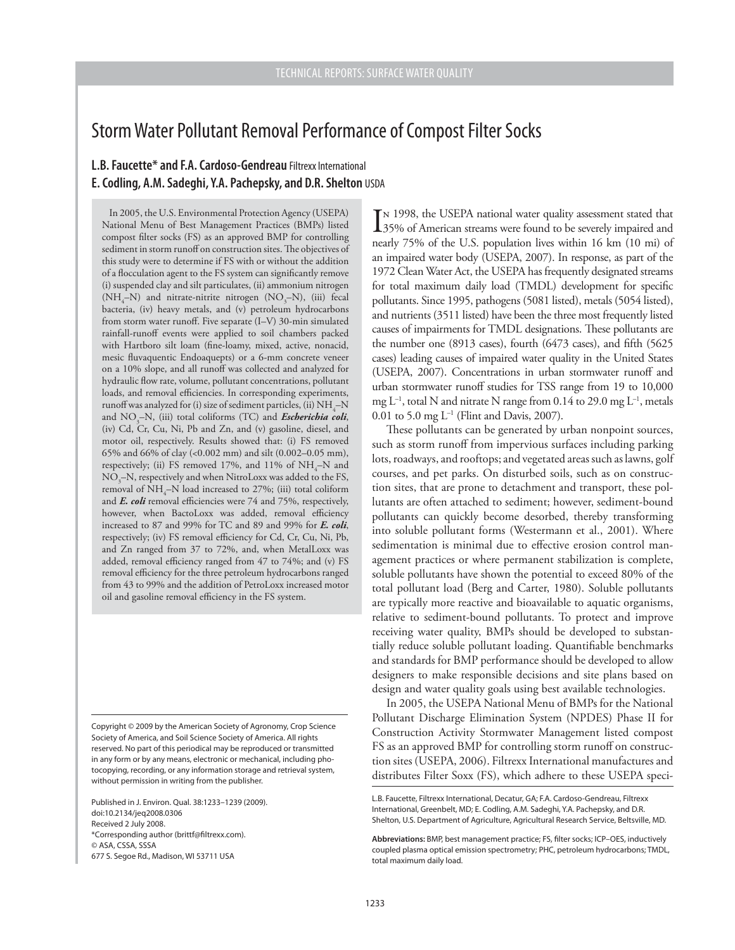# Storm Water Pollutant Removal Performance of Compost Filter Socks

**L.B. Faucette\* and F.A. Cardoso-Gendreau** Filtrexx International **E. Codling, A.M. Sadeghi, Y.A. Pachepsky, and D.R. Shelton** USDA

In 2005, the U.S. Environmental Protection Agency (USEPA) National Menu of Best Management Practices (BMPs) listed compost filter socks (FS) as an approved BMP for controlling sediment in storm runoff on construction sites. The objectives of this study were to determine if FS with or without the addition of a flocculation agent to the FS system can significantly remove (i) suspended clay and silt particulates, (ii) ammonium nitrogen  $(NH<sub>4</sub>-N)$  and nitrate-nitrite nitrogen  $(NO<sub>3</sub>-N)$ , (iii) fecal bacteria, (iv) heavy metals, and (v) petroleum hydrocarbons from storm water runoff. Five separate (I–V) 30-min simulated rainfall-runoff events were applied to soil chambers packed with Hartboro silt loam (fine-loamy, mixed, active, nonacid, mesic fluvaquentic Endoaquepts) or a 6-mm concrete veneer on a 10% slope, and all runoff was collected and analyzed for hydraulic flow rate, volume, pollutant concentrations, pollutant loads, and removal efficiencies. In corresponding experiments, runoff was analyzed for (i) size of sediment particles, (ii)  $\mathrm{NH}_4\mathrm{-N}$ and NO<sub>3</sub>–N, (iii) total coliforms (TC) and *Escherichia coli*, (iv) Cd, Cr, Cu, Ni, Pb and Zn, and (v) gasoline, diesel, and motor oil, respectively. Results showed that: (i) FS removed 65% and 66% of clay (<0.002 mm) and silt (0.002–0.05 mm), respectively; (ii) FS removed 17%, and 11% of  $\mathrm{NH}_4\text{--}N$  and  $\rm NO_{3}$ –N, respectively and when NitroLoxx was added to the FS, removal of  $\mathrm{NH}_4\text{--} \mathrm{N}$  load increased to 27%; (iii) total coliform and *E. coli* removal efficiencies were 74 and 75%, respectively, however, when BactoLoxx was added, removal efficiency increased to 87 and 99% for TC and 89 and 99% for *E. coli*, respectively; (iv) FS removal efficiency for Cd, Cr, Cu, Ni, Pb, and Zn ranged from 37 to 72%, and, when MetalLoxx was added, removal efficiency ranged from 47 to 74%; and (v) FS removal efficiency for the three petroleum hydrocarbons ranged from 43 to 99% and the addition of PetroLoxx increased motor oil and gasoline removal efficiency in the FS system.

Copyright © 2009 by the American Society of Agronomy, Crop Science Society of America, and Soil Science Society of America. All rights reserved. No part of this periodical may be reproduced or transmitted in any form or by any means, electronic or mechanical, including photocopying, recording, or any information storage and retrieval system, without permission in writing from the publisher.

Published in J. Environ. Qual. 38:1233–1239 (2009). doi:10.2134/jeq2008.0306 Received 2 July 2008. \*Corresponding author (brittf@filtrexx.com). © ASA, CSSA, SSSA 677 S. Segoe Rd., Madison, WI 53711 USA

IN 1998, the USEPA national water quality assessment stated that<br>35% of American streams were found to be severely impaired and<br> $\frac{1}{256}$ n 1998, the USEPA national water quality assessment stated that nearly 75% of the U.S. population lives within 16 km (10 mi) of an impaired water body (USEPA, 2007). In response, as part of the 1972 Clean Water Act, the USEPA has frequently designated streams for total maximum daily load (TMDL) development for specific pollutants. Since 1995, pathogens (5081 listed), metals (5054 listed), and nutrients (3511 listed) have been the three most frequently listed causes of impairments for TMDL designations. These pollutants are the number one (8913 cases), fourth (6473 cases), and fifth (5625 cases) leading causes of impaired water quality in the United States (USEPA, 2007). Concentrations in urban stormwater runoff and urban stormwater runoff studies for TSS range from 19 to 10,000 mg  $L^{-1}$ , total N and nitrate N range from 0.14 to 29.0 mg  $L^{-1}$ , metals 0.01 to 5.0 mg  $L^{-1}$  (Flint and Davis, 2007).

These pollutants can be generated by urban nonpoint sources, such as storm runoff from impervious surfaces including parking lots, roadways, and rooftops; and vegetated areas such as lawns, golf courses, and pet parks. On disturbed soils, such as on construction sites, that are prone to detachment and transport, these pollutants are often attached to sediment; however, sediment-bound pollutants can quickly become desorbed, thereby transforming into soluble pollutant forms (Westermann et al., 2001). Where sedimentation is minimal due to effective erosion control management practices or where permanent stabilization is complete, soluble pollutants have shown the potential to exceed 80% of the total pollutant load (Berg and Carter, 1980). Soluble pollutants are typically more reactive and bioavailable to aquatic organisms, relative to sediment-bound pollutants. To protect and improve receiving water quality, BMPs should be developed to substantially reduce soluble pollutant loading. Quantifiable benchmarks and standards for BMP performance should be developed to allow designers to make responsible decisions and site plans based on design and water quality goals using best available technologies.

In 2005, the USEPA National Menu of BMPs for the National Pollutant Discharge Elimination System (NPDES) Phase II for Construction Activity Stormwater Management listed compost FS as an approved BMP for controlling storm runoff on construction sites (USEPA, 2006). Filtrexx International manufactures and distributes Filter Soxx (FS), which adhere to these USEPA speci-

L.B. Faucette, Filtrexx International, Decatur, GA; F.A. Cardoso-Gendreau, Filtrexx International, Greenbelt, MD; E. Codling, A.M. Sadeghi, Y.A. Pachepsky, and D.R. Shelton, U.S. Department of Agriculture, Agricultural Research Service, Beltsville, MD.

Abbreviations: BMP, best management practice; FS, filter socks; ICP-OES, inductively coupled plasma optical emission spectrometry; PHC, petroleum hydrocarbons; TMDL, total maximum daily load.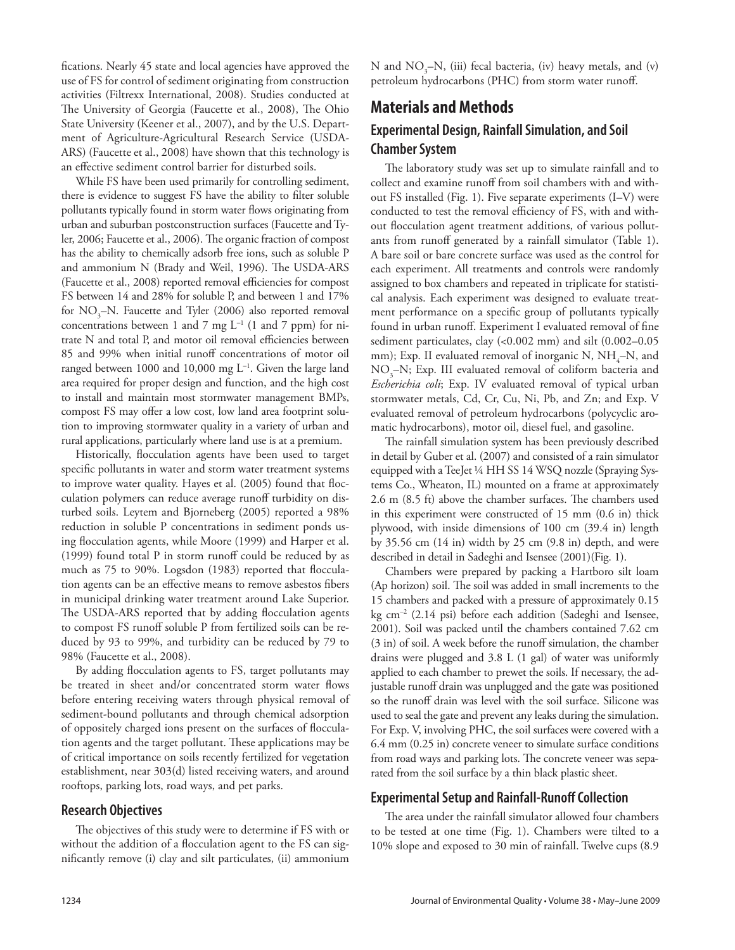fications. Nearly 45 state and local agencies have approved the use of FS for control of sediment originating from construction activities (Filtrexx International, 2008). Studies conducted at The University of Georgia (Faucette et al., 2008), The Ohio State University (Keener et al., 2007), and by the U.S. Department of Agriculture-Agricultural Research Service (USDA-ARS) (Faucette et al., 2008) have shown that this technology is an effective sediment control barrier for disturbed soils.

While FS have been used primarily for controlling sediment, there is evidence to suggest FS have the ability to filter soluble pollutants typically found in storm water flows originating from urban and suburban postconstruction surfaces (Faucette and Tyler, 2006; Faucette et al., 2006). The organic fraction of compost has the ability to chemically adsorb free ions, such as soluble P and ammonium N (Brady and Weil, 1996). The USDA-ARS (Faucette et al., 2008) reported removal efficiencies for compost FS between 14 and 28% for soluble P, and between 1 and 17% for  $\rm NO_{3}$ –N. Faucette and Tyler (2006) also reported removal concentrations between 1 and 7 mg L<sup>−</sup><sup>1</sup> (1 and 7 ppm) for nitrate N and total P, and motor oil removal efficiencies between 85 and 99% when initial runoff concentrations of motor oil ranged between 1000 and 10,000 mg L<sup>-1</sup>. Given the large land area required for proper design and function, and the high cost to install and maintain most stormwater management BMPs, compost FS may offer a low cost, low land area footprint solution to improving stormwater quality in a variety of urban and rural applications, particularly where land use is at a premium.

Historically, flocculation agents have been used to target specific pollutants in water and storm water treatment systems to improve water quality. Hayes et al. (2005) found that flocculation polymers can reduce average runoff turbidity on disturbed soils. Leytem and Bjorneberg (2005) reported a 98% reduction in soluble P concentrations in sediment ponds using flocculation agents, while Moore (1999) and Harper et al. (1999) found total P in storm runoff could be reduced by as much as 75 to 90%. Logsdon (1983) reported that flocculation agents can be an effective means to remove asbestos fibers in municipal drinking water treatment around Lake Superior. The USDA-ARS reported that by adding flocculation agents to compost FS runoff soluble P from fertilized soils can be reduced by 93 to 99%, and turbidity can be reduced by 79 to 98% (Faucette et al., 2008).

By adding flocculation agents to FS, target pollutants may be treated in sheet and/or concentrated storm water flows before entering receiving waters through physical removal of sediment-bound pollutants and through chemical adsorption of oppositely charged ions present on the surfaces of flocculation agents and the target pollutant. These applications may be of critical importance on soils recently fertilized for vegetation establishment, near 303(d) listed receiving waters, and around rooftops, parking lots, road ways, and pet parks.

### **Research Objectives**

The objectives of this study were to determine if FS with or without the addition of a flocculation agent to the FS can significantly remove (i) clay and silt particulates, (ii) ammonium

## **Materials and Methods Experimental Design, Rainfall Simulation, and Soil Chamber System**

The laboratory study was set up to simulate rainfall and to collect and examine runoff from soil chambers with and without FS installed (Fig. 1). Five separate experiments (I–V) were conducted to test the removal efficiency of FS, with and without flocculation agent treatment additions, of various pollutants from runoff generated by a rainfall simulator (Table 1). A bare soil or bare concrete surface was used as the control for each experiment. All treatments and controls were randomly assigned to box chambers and repeated in triplicate for statistical analysis. Each experiment was designed to evaluate treatment performance on a specific group of pollutants typically found in urban runoff. Experiment I evaluated removal of fine sediment particulates, clay (<0.002 mm) and silt (0.002–0.05 mm); Exp. II evaluated removal of inorganic N,  $\mathrm{NH}_4\text{--}\mathrm{N},$  and NO<sub>3</sub>–N; Exp. III evaluated removal of coliform bacteria and *Escherichia coli*; Exp. IV evaluated removal of typical urban stormwater metals, Cd, Cr, Cu, Ni, Pb, and Zn; and Exp. V evaluated removal of petroleum hydrocarbons (polycyclic aromatic hydrocarbons), motor oil, diesel fuel, and gasoline.

The rainfall simulation system has been previously described in detail by Guber et al. (2007) and consisted of a rain simulator equipped with a TeeJet ¼ HH SS 14 WSQ nozzle (Spraying Systems Co., Wheaton, IL) mounted on a frame at approximately 2.6 m (8.5 ft) above the chamber surfaces. The chambers used in this experiment were constructed of 15 mm (0.6 in) thick plywood, with inside dimensions of 100 cm (39.4 in) length by 35.56 cm (14 in) width by 25 cm (9.8 in) depth, and were described in detail in Sadeghi and Isensee (2001)(Fig. 1).

Chambers were prepared by packing a Hartboro silt loam (Ap horizon) soil. The soil was added in small increments to the 15 chambers and packed with a pressure of approximately 0.15 kg cm–2 (2.14 psi) before each addition (Sadeghi and Isensee, 2001). Soil was packed until the chambers contained 7.62 cm (3 in) of soil. A week before the runoff simulation, the chamber drains were plugged and 3.8 L (1 gal) of water was uniformly applied to each chamber to prewet the soils. If necessary, the adjustable runoff drain was unplugged and the gate was positioned so the runoff drain was level with the soil surface. Silicone was used to seal the gate and prevent any leaks during the simulation. For Exp. V, involving PHC, the soil surfaces were covered with a 6.4 mm (0.25 in) concrete veneer to simulate surface conditions from road ways and parking lots. The concrete veneer was separated from the soil surface by a thin black plastic sheet.

## **Experimental Setup and Rainfall-Runoff Collection**

The area under the rainfall simulator allowed four chambers to be tested at one time (Fig. 1). Chambers were tilted to a 10% slope and exposed to 30 min of rainfall. Twelve cups (8.9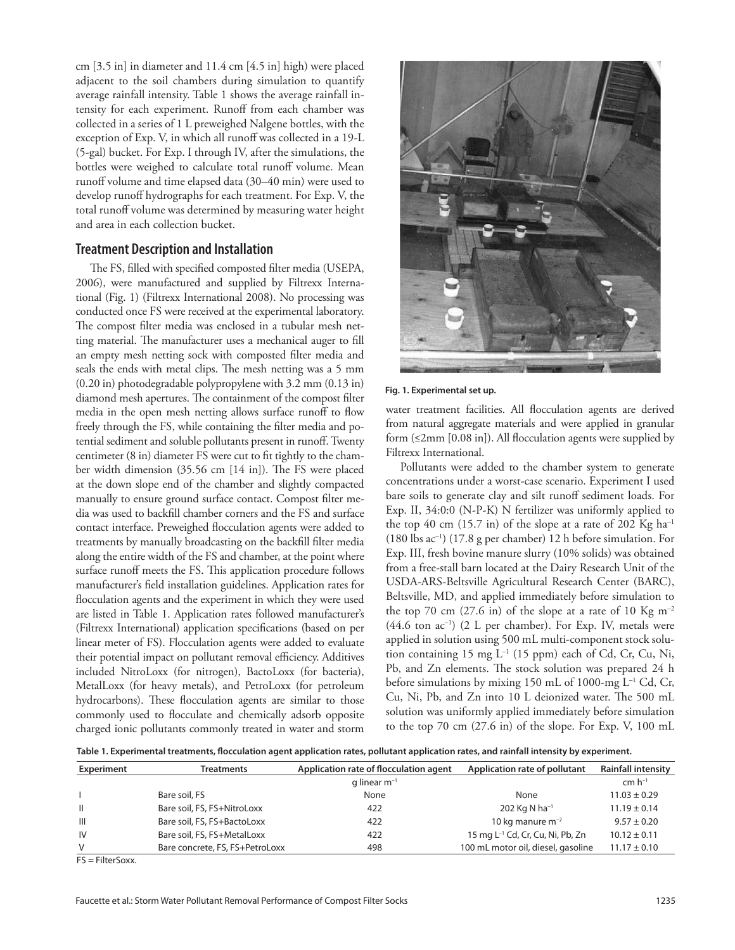cm [3.5 in] in diameter and 11.4 cm [4.5 in] high) were placed adjacent to the soil chambers during simulation to quantify average rainfall intensity. Table 1 shows the average rainfall intensity for each experiment. Runoff from each chamber was collected in a series of 1 L preweighed Nalgene bottles, with the exception of Exp. V, in which all runoff was collected in a 19-L (5-gal) bucket. For Exp. I through IV, after the simulations, the bottles were weighed to calculate total runoff volume. Mean runoff volume and time elapsed data (30–40 min) were used to develop runoff hydrographs for each treatment. For Exp. V, the total runoff volume was determined by measuring water height and area in each collection bucket.

### **Treatment Description and Installation**

The FS, filled with specified composted filter media (USEPA, 2006), were manufactured and supplied by Filtrexx International (Fig. 1) (Filtrexx International 2008). No processing was conducted once FS were received at the experimental laboratory. The compost filter media was enclosed in a tubular mesh netting material. The manufacturer uses a mechanical auger to fill an empty mesh netting sock with composted filter media and seals the ends with metal clips. The mesh netting was a 5 mm (0.20 in) photodegradable polypropylene with 3.2 mm (0.13 in) diamond mesh apertures. The containment of the compost filter media in the open mesh netting allows surface runoff to flow freely through the FS, while containing the filter media and potential sediment and soluble pollutants present in runoff. Twenty centimeter (8 in) diameter FS were cut to fit tightly to the chamber width dimension (35.56 cm [14 in]). The FS were placed at the down slope end of the chamber and slightly compacted manually to ensure ground surface contact. Compost filter media was used to backfill chamber corners and the FS and surface contact interface. Preweighed flocculation agents were added to treatments by manually broadcasting on the backfill filter media along the entire width of the FS and chamber, at the point where surface runoff meets the FS. This application procedure follows manufacturer's field installation guidelines. Application rates for flocculation agents and the experiment in which they were used are listed in Table 1. Application rates followed manufacturer's (Filtrexx International) application specifications (based on per linear meter of FS). Flocculation agents were added to evaluate their potential impact on pollutant removal efficiency. Additives included NitroLoxx (for nitrogen), BactoLoxx (for bacteria), MetalLoxx (for heavy metals), and PetroLoxx (for petroleum hydrocarbons). These flocculation agents are similar to those commonly used to flocculate and chemically adsorb opposite charged ionic pollutants commonly treated in water and storm



#### **Fig. 1. Experimental set up.**

water treatment facilities. All flocculation agents are derived from natural aggregate materials and were applied in granular form  $(\leq 2 \text{mm } [0.08 \text{ in}])$ . All flocculation agents were supplied by Filtrexx International.

Pollutants were added to the chamber system to generate concentrations under a worst-case scenario. Experiment I used bare soils to generate clay and silt runoff sediment loads. For Exp. II, 34:0:0 (N-P-K) N fertilizer was uniformly applied to the top 40 cm  $(15.7 \text{ in})$  of the slope at a rate of 202 Kg ha<sup>-1</sup> (180 lbs ac–1) (17.8 g per chamber) 12 h before simulation. For Exp. III, fresh bovine manure slurry (10% solids) was obtained from a free-stall barn located at the Dairy Research Unit of the USDA-ARS-Beltsville Agricultural Research Center (BARC), Beltsville, MD, and applied immediately before simulation to the top 70 cm (27.6 in) of the slope at a rate of 10 Kg  $m^{-2}$  $(44.6 \text{ ton } ac^{-1})$   $(2 \text{ L per chamber})$ . For Exp. IV, metals were applied in solution using 500 mL multi-component stock solution containing 15 mg  $L^{-1}$  (15 ppm) each of Cd, Cr, Cu, Ni, Pb, and Zn elements. The stock solution was prepared 24 h before simulations by mixing 150 mL of 1000-mg  $L^{-1}$  Cd, Cr, Cu, Ni, Pb, and Zn into 10 L deionized water. The 500 mL solution was uniformly applied immediately before simulation to the top 70 cm (27.6 in) of the slope. For Exp. V, 100 mL

Table 1. Experimental treatments, flocculation agent application rates, pollutant application rates, and rainfall intensity by experiment.

| Experiment     | <b>Treatments</b>               | Application rate of flocculation agent | Application rate of pollutant                | <b>Rainfall intensity</b> |
|----------------|---------------------------------|----------------------------------------|----------------------------------------------|---------------------------|
|                |                                 | q linear $m^{-1}$                      |                                              | $cm h^{-1}$               |
|                | Bare soil, FS                   | None                                   | None                                         | $11.03 \pm 0.29$          |
| $\mathbf{I}$   | Bare soil, FS, FS+NitroLoxx     | 422                                    | 202 Kg N ha <sup>-1</sup>                    | $11.19 \pm 0.14$          |
| $\mathbf{III}$ | Bare soil, FS, FS+BactoLoxx     | 422                                    | 10 kg manure $m^{-2}$                        | $9.57 \pm 0.20$           |
| IV             | Bare soil, FS, FS+MetalLoxx     | 422                                    | 15 mg L <sup>-1</sup> Cd, Cr, Cu, Ni, Pb, Zn | $10.12 \pm 0.11$          |
| V              | Bare concrete, FS, FS+PetroLoxx | 498                                    | 100 mL motor oil, diesel, gasoline           | $11.17 \pm 0.10$          |

FS = FilterSoxx.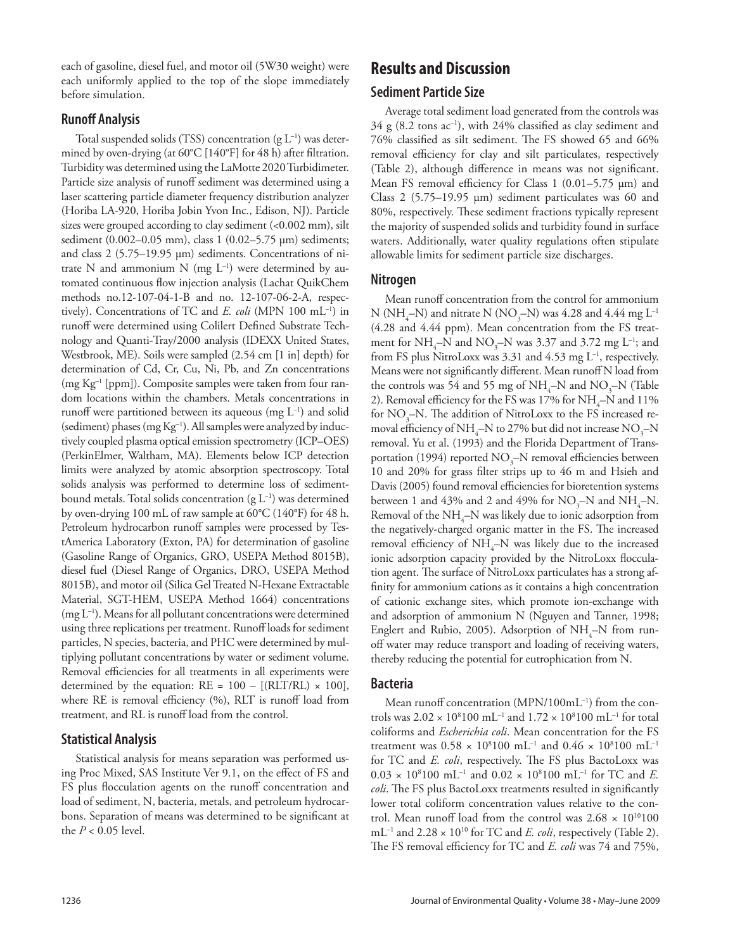each of gasoline, diesel fuel, and motor oil (5W30 weight) were each uniformly applied to the top of the slope immediately before simulation.

## **Runoff Analysis**

Total suspended solids (TSS) concentration  $(g L^{-1})$  was determined by oven-drying (at  $60^{\circ}$ C [140°F] for 48 h) after filtration. Turbidity was determined using the LaMotte 2020 Turbidimeter. Particle size analysis of runoff sediment was determined using a laser scattering particle diameter frequency distribution analyzer (Horiba LA-920, Horiba Jobin Yvon Inc., Edison, NJ). Particle sizes were grouped according to clay sediment (<0.002 mm), silt sediment (0.002–0.05 mm), class 1 (0.02–5.75 μm) sediments; and class 2 (5.75–19.95 μm) sediments. Concentrations of nitrate N and ammonium N (mg  $L^{-1}$ ) were determined by automated continuous flow injection analysis (Lachat QuikChem methods no.12-107-04-1-B and no. 12-107-06-2-A, respectively). Concentrations of TC and *E. coli* (MPN 100 mL–1) in runoff were determined using Colilert Defined Substrate Technology and Quanti-Tray/2000 analysis (IDEXX United States, Westbrook, ME). Soils were sampled (2.54 cm [1 in] depth) for determination of Cd, Cr, Cu, Ni, Pb, and Zn concentrations (mg Kg–1 [ppm]). Composite samples were taken from four random locations within the chambers. Metals concentrations in runoff were partitioned between its aqueous (mg  $L^{-1}$ ) and solid (sediment) phases (mg  $Kg^{-1}$ ). All samples were analyzed by inductively coupled plasma optical emission spectrometry (ICP–OES) (PerkinElmer, Waltham, MA). Elements below ICP detection limits were analyzed by atomic absorption spectroscopy. Total solids analysis was performed to determine loss of sedimentbound metals. Total solids concentration  $(g L^{-1})$  was determined by oven-drying 100 mL of raw sample at 60°C (140°F) for 48 h. Petroleum hydrocarbon runoff samples were processed by TestAmerica Laboratory (Exton, PA) for determination of gasoline (Gasoline Range of Organics, GRO, USEPA Method 8015B), diesel fuel (Diesel Range of Organics, DRO, USEPA Method 8015B), and motor oil (Silica Gel Treated N-Hexane Extractable Material, SGT-HEM, USEPA Method 1664) concentrations  $(mg L^{-1})$ . Means for all pollutant concentrations were determined using three replications per treatment. Runoff loads for sediment particles, N species, bacteria, and PHC were determined by multiplying pollutant concentrations by water or sediment volume. Removal efficiencies for all treatments in all experiments were determined by the equation:  $RE = 100 - [(RLT/RL) \times 100]$ , where RE is removal efficiency  $(\%)$ , RLT is runoff load from treatment, and RL is runoff load from the control.

## **Statistical Analysis**

Statistical analysis for means separation was performed using Proc Mixed, SAS Institute Ver 9.1, on the effect of FS and FS plus flocculation agents on the runoff concentration and load of sediment, N, bacteria, metals, and petroleum hydrocarbons. Separation of means was determined to be significant at the *P* < 0.05 level.

# **Results and Discussion Sediment Particle Size**

Average total sediment load generated from the controls was  $34$  g (8.2 tons ac<sup>-1</sup>), with 24% classified as clay sediment and 76% classified as silt sediment. The FS showed 65 and 66% removal efficiency for clay and silt particulates, respectively (Table 2), although difference in means was not significant. Mean FS removal efficiency for Class 1  $(0.01-5.75 \mu m)$  and Class 2 (5.75–19.95 μm) sediment particulates was 60 and 80%, respectively. These sediment fractions typically represent the majority of suspended solids and turbidity found in surface waters. Additionally, water quality regulations often stipulate allowable limits for sediment particle size discharges.

## **Nitrogen**

Mean runoff concentration from the control for ammonium N (NH<sub>4</sub>–N) and nitrate N (NO<sub>3</sub>–N) was 4.28 and 4.44 mg L<sup>-1</sup> (4.28 and 4.44 ppm). Mean concentration from the FS treatment for  $NH_4$ –N and  $NO_3$ –N was 3.37 and 3.72 mg L<sup>-1</sup>; and from FS plus NitroLoxx was  $3.31$  and  $4.53$  mg  $L^{-1}$ , respectively. Means were not significantly different. Mean runoff N load from the controls was 54 and 55 mg of  $NH_4$ –N and  $NO_3$ –N (Table 2). Removal efficiency for the FS was 17% for  $\mathrm{NH}_4\text{--} \mathrm{N}$  and 11% for  $\rm NO_{3}$ –N. The addition of NitroLoxx to the FS increased removal efficiency of NH<sub>4</sub>–N to 27% but did not increase  $\rm NO_3\text{-}N$ removal. Yu et al. (1993) and the Florida Department of Transportation (1994) reported  $\rm NO_{3}$ –N removal efficiencies between 10 and 20% for grass filter strips up to 46 m and Hsieh and Davis (2005) found removal efficiencies for bioretention systems between 1 and 43% and 2 and 49% for  $NO_3$ –N and  $NH_4$ –N. Removal of the  $\mathrm{NH}_4\text{--} \mathrm{N}$  was likely due to ionic adsorption from the negatively-charged organic matter in the FS. The increased removal efficiency of  $NH_4$ – $N$  was likely due to the increased ionic adsorption capacity provided by the NitroLoxx flocculation agent. The surface of NitroLoxx particulates has a strong affinity for ammonium cations as it contains a high concentration of cationic exchange sites, which promote ion-exchange with and adsorption of ammonium N (Nguyen and Tanner, 1998; Englert and Rubio, 2005). Adsorption of  $\mathrm{NH}_4\text{--}N$  from runoff water may reduce transport and loading of receiving waters, thereby reducing the potential for eutrophication from N.

## **Bacteria**

Mean runoff concentration (MPN/100mL<sup>-1</sup>) from the controls was  $2.02 \times 10^8 100 \text{ mL}^{-1}$  and  $1.72 \times 10^8 100 \text{ mL}^{-1}$  for total coliforms and *Escherichia coli*. Mean concentration for the FS treatment was  $0.58 \times 10^8 100 \text{ mL}^{-1}$  and  $0.46 \times 10^8 100 \text{ mL}^{-1}$ for TC and *E. coli*, respectively. The FS plus BactoLoxx was  $0.03 \times 10^8 100 \text{ mL}^{-1}$  and  $0.02 \times 10^8 100 \text{ mL}^{-1}$  for TC and *E*. *coli*. The FS plus BactoLoxx treatments resulted in significantly lower total coliform concentration values relative to the control. Mean runoff load from the control was  $2.68 \times 10^{10}100$  $mL^{-1}$  and  $2.28 \times 10^{10}$  for TC and *E. coli*, respectively (Table 2). The FS removal efficiency for TC and *E. coli* was 74 and 75%,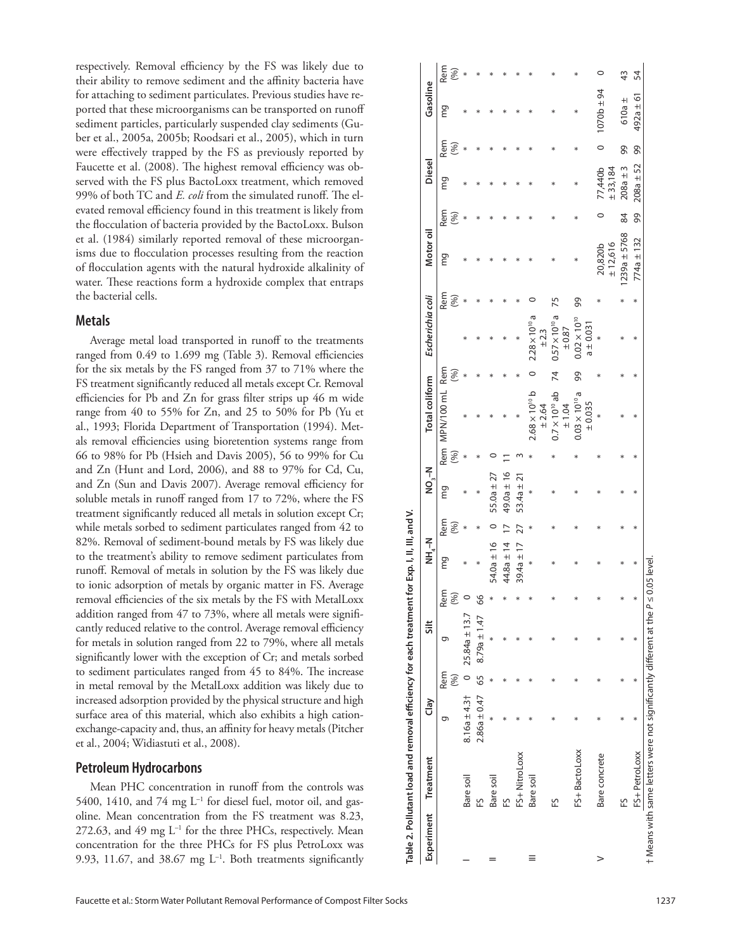respectively. Removal efficiency by the FS was likely due to their ability to remove sediment and the affinity bacteria have for attaching to sediment particulates. Previous studies have reported that these microorganisms can be transported on runoff sediment particles, particularly suspended clay sediments (Guber et al., 2005a, 2005b; Roodsari et al., 2005), which in turn were effectively trapped by the FS as previously reported by Faucette et al. (2008). The highest removal efficiency was observed with the FS plus BactoLoxx treatment, which removed 99% of both TC and *E. coli* from the simulated runoff. The elevated removal efficiency found in this treatment is likely from the flocculation of bacteria provided by the BactoLoxx. Bulson et al. (1984) similarly reported removal of these microorganisms due to flocculation processes resulting from the reaction of flocculation agents with the natural hydroxide alkalinity of water. These reactions form a hydroxide complex that entraps the bacterial cells.

### **Metals**

Average metal load transported in runoff to the treatments ranged from 0.49 to 1.699 mg (Table 3). Removal efficiencies for the six metals by the FS ranged from 37 to 71% where the FS treatment significantly reduced all metals except Cr. Removal efficiencies for Pb and Zn for grass filter strips up 46 m wide range from 40 to 55% for Zn, and 25 to 50% for Pb (Yu et al., 1993; Florida Department of Transportation (1994). Metals removal efficiencies using bioretention systems range from 66 to 98% for Pb (Hsieh and Davis 2005), 56 to 99% for Cu and Zn (Hunt and Lord, 2006), and 88 to 97% for Cd, Cu, and Zn (Sun and Davis 2007). Average removal efficiency for soluble metals in runoff ranged from 17 to 72%, where the FS treatment significantly reduced all metals in solution except Cr; while metals sorbed to sediment particulates ranged from 42 to 82%. Removal of sediment-bound metals by FS was likely due to the treatment's ability to remove sediment particulates from runoff. Removal of metals in solution by the FS was likely due to ionic adsorption of metals by organic matter in FS. Average removal efficiencies of the six metals by the FS with MetalLoxx addition ranged from 47 to 73%, where all metals were significantly reduced relative to the control. Average removal efficiency for metals in solution ranged from 22 to 79%, where all metals significantly lower with the exception of Cr; and metals sorbed to sediment particulates ranged from  $45$  to  $84\%$ . The increase in metal removal by the MetalLoxx addition was likely due to increased adsorption provided by the physical structure and high surface area of this material, which also exhibits a high cationexchange-capacity and, thus, an affinity for heavy metals (Pitcher et al., 2004; Widiastuti et al., 2008).

## **Petroleum Hydrocarbons**

Mean PHC concentration in runoff from the controls was 5400, 1410, and 74 mg  $L^{-1}$  for diesel fuel, motor oil, and gasoline. Mean concentration from the FS treatment was 8.23,  $272.63$ , and  $49 \text{ mg } L^{-1}$  for the three PHCs, respectively. Mean concentration for the three PHCs for FS plus PetroLoxx was 9.93, 11.67, and 38.67 mg  $L^{-1}$ . Both treatments significantly

| Experiment | Treatment     | Clay             |                      | $\frac{1}{5}$         |             | NH <sub>,</sub> -N |                | $N_O - N$      |     | <b>Total coliform</b>              |                | Escherichia coli                       |            | Motor oil           |             | <b>Diesel</b>       |     | Gasoline      |             |
|------------|---------------|------------------|----------------------|-----------------------|-------------|--------------------|----------------|----------------|-----|------------------------------------|----------------|----------------------------------------|------------|---------------------|-------------|---------------------|-----|---------------|-------------|
|            |               | g                | Rem<br>$\mathcal{S}$ | g                     | Rem<br>(96) | mg                 | Rem<br>(9)     | Σã             | (9) | Rem MPN/100 mL Rem                 | (%)            |                                        | Rem<br>(%) | mg                  | Rem<br>(96) | mg                  | Rem | mg            | Rem<br>(96) |
|            | Bare soil     | $8.16a \pm 4.3$  |                      | $0$ $25.84a \pm 13.7$ |             |                    |                |                |     |                                    |                |                                        |            |                     |             |                     |     |               |             |
|            | 51            | $2.86a \pm 0.47$ | 65                   | $8.79a \pm 1.47$      | 8           |                    |                |                |     |                                    |                |                                        |            |                     |             |                     |     |               |             |
|            | Bare soil     |                  |                      |                       |             | $54.0a \pm 16$     |                | $55.0a \pm 27$ |     |                                    |                |                                        |            |                     |             |                     |     |               |             |
|            | £             |                  |                      |                       |             | $44.8a \pm 14$     | $\overline{1}$ | 49.0a $\pm$ 16 |     |                                    |                |                                        |            |                     |             |                     |     |               |             |
|            | FS+NitroLoxx  |                  |                      |                       |             | $39.4a \pm 17$     | 27             | $53.4a \pm 21$ |     |                                    |                |                                        |            |                     |             |                     |     |               |             |
| Ξ          | Bare soil     |                  |                      |                       |             |                    |                |                |     | $2.68 \times 10^{10}$ b<br>± 2.64  |                | $2.28 \times 10^{10}$ a<br>±23         |            |                     |             |                     |     |               |             |
|            | 53            |                  |                      |                       |             |                    |                |                |     | $0.7 \times 10^{10}$ ab<br>± 1.04  | $\overline{7}$ | $0.57 \times 10^{10}$ a<br>$\pm 0.87$  | 75         |                     |             |                     |     |               |             |
|            | FS+BactoLoxx  |                  |                      |                       |             |                    |                |                |     | $0.03 \times 10^{10}$ a<br>± 0.035 | 99             | $0.02 \times 10^{10}$<br>$a \pm 0.031$ | 99         |                     |             |                     |     |               |             |
|            | Bare concrete |                  |                      |                       |             |                    |                |                |     |                                    |                |                                        |            | ± 12,616<br>20,820b |             | 7,440b<br>$-33,184$ |     | $1070b + 94$  |             |
|            | £S            |                  |                      | $\ast$                |             |                    |                |                |     |                                    |                |                                        |            | $1239a \pm 5768$    | 84          | $208a \pm 3$        | 99  | $610a \pm$    | 43          |
|            | FS+PetroLoxx  | *                |                      |                       |             |                    |                |                |     |                                    |                |                                        |            | $774a \pm 132$      | 99          | $208a \pm 52$ 99    |     | $492a \pm 61$ | 54          |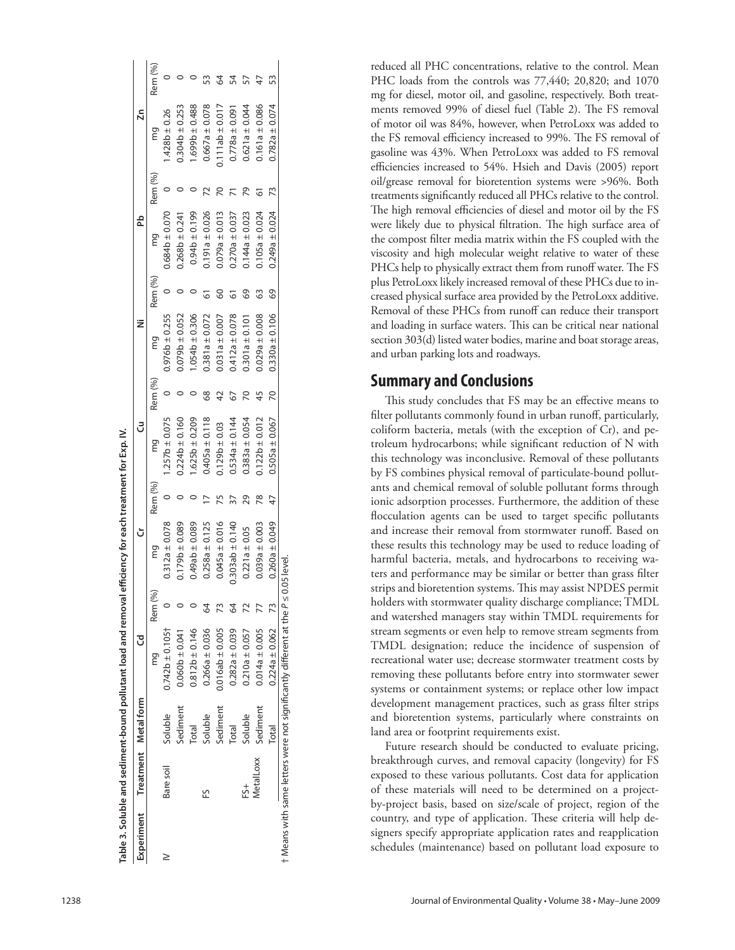|                                 |           |          | Table 3. Soluble and sediment-bound pollutant load and removal                                 |         | efficiency for each treatment for Exp. IV. |         |                    |         |                    |         |                    |         |                     |         |
|---------------------------------|-----------|----------|------------------------------------------------------------------------------------------------|---------|--------------------------------------------|---------|--------------------|---------|--------------------|---------|--------------------|---------|---------------------|---------|
| Experiment Treatment Metal form |           |          | Ů                                                                                              |         |                                            |         | ද                  |         | Ż                  |         | 9d                 |         | $\mathsf{Zn}$       |         |
|                                 |           |          | mq                                                                                             | Rem (%) | g                                          | Rem (%) | g                  | Rem (%) | g                  | Rem (%) | E                  | Rem (%) | g                   | Rem (%) |
|                                 | Bare soil | Soluble  | $0.742b \pm 0.105$                                                                             |         | $0.312a \pm 0.078$                         |         | $1.257b + 0.075$   |         | $0.976b + 0.255$   |         | $0.684b \pm 0.070$ |         | $1.428b + 0.26$     |         |
|                                 |           | Sediment | $0.060b \pm 0.041$                                                                             |         | $0.179b \pm 0.089$                         |         | $0.224b \pm 0.160$ |         | $0.079b \pm 0.052$ |         | $0.268b \pm 0.241$ |         | $0.304b \pm 0.253$  |         |
|                                 |           | Total    | $0.812b \pm 0.146$                                                                             |         | $0.49ab \pm 0.089$                         |         | $1.625b \pm 0.209$ |         | $.054b \pm 0.306$  |         | $0.94b + 0.199$    |         | $0.699b + 0.488$    |         |
|                                 | R         | Soluble  | $0.266a + 0.036$                                                                               | 34      | $0.258a \pm 0.125$                         |         | $0.405a \pm 0.118$ | 68      | $0.381a + 0.072$   |         | $0.191a \pm 0.026$ |         | $0.667a \pm 0.078$  |         |
|                                 |           | Sediment | $0.016ab \pm 0.005$                                                                            |         | $0.045a \pm 0.016$                         |         | $0.129b \pm 0.03$  |         | $0.031a \pm 0.007$ | 8       | $0.079a \pm 0.013$ |         | $0.111ab \pm 0.017$ |         |
|                                 |           | Total    | $0.282a \pm 0.039$                                                                             | 84      | $0.303ab \pm 0.140$                        |         | $0.534a \pm 0.144$ |         | $0.412a \pm 0.078$ |         | $0.270a \pm 0.037$ |         | $0.778a \pm 0.091$  |         |
|                                 | $+54$     | Soluble  | $0.210a \pm 0.057$                                                                             |         | $0.221a \pm 0.05$                          |         | $0.383a + 0.054$   |         | $0.301a + 0.101$   | 69      | $0.144a \pm 0.023$ |         | $0.621a \pm 0.044$  |         |
|                                 | MetalLoxx | Sediment | $0.014a \pm 0.005$                                                                             |         | $0.039a \pm 0.003$                         | ლ       | $0.122b \pm 0.012$ |         | $0.029a \pm 0.008$ |         | $0.105a \pm 0.024$ |         | $0.161a \pm 0.086$  |         |
|                                 |           | Total    | $0.224a \pm 0.062$                                                                             | R,      | $0.260a \pm 0.049$                         | 47      | $0.505a \pm 0.067$ | R       | $0.330a \pm 0.106$ | 69      | $0.249a \pm 0.024$ | 73      | $0.782a \pm 0.074$  |         |
|                                 |           |          | $\dagger$ Means with same letters were not significantly different at the P $\leq$ 0.05 level. |         |                                            |         |                    |         |                    |         |                    |         |                     |         |

reduced all PHC concentrations, relative to the control. Mean PHC loads from the controls was 77,440; 20,820; and 1070 mg for diesel, motor oil, and gasoline, respectively. Both treatments removed 99% of diesel fuel (Table 2). The FS removal of motor oil was 84%, however, when PetroLoxx was added to the FS removal efficiency increased to 99%. The FS removal of gasoline was 43%. When PetroLoxx was added to FS removal efficiencies increased to 54%. Hsieh and Davis (2005) report oil/grease removal for bioretention systems were >96%. Both treatments significantly reduced all PHCs relative to the control.<br>The high removal efficiencies of diesel and motor oil by the FS were likely due to physical filtration. The high surface area of the compost filter media matrix within the FS coupled with the viscosity and high molecular weight relative to water of these PHCs help to physically extract them from runoff water. The FS plus PetroLoxx likely increased removal of these PHCs due to increased physical surface area provided by the PetroLoxx additive. Removal of these PHCs from runoff can reduce their transport and loading in surface waters. This can be critical near national section 303(d) listed water bodies, marine and boat storage areas, and urban parking lots and roadways.

# **Summary and Conclusions**

This study concludes that FS may be an effective means to filter pollutants commonly found in urban runoff, particularly, coliform bacteria, metals (with the exception of Cr), and petroleum hydrocarbons; while significant reduction of  $N$  with this technology was inconclusive. Removal of these pollutants by FS combines physical removal of particulate-bound pollutants and chemical removal of soluble pollutant forms through ionic adsorption processes. Furthermore, the addition of these flocculation agents can be used to target specific pollutants and increase their removal from stormwater runoff. Based on these results this technology may be used to reduce loading of harmful bacteria, metals, and hydrocarbons to receiving waters and performance may be similar or better than grass filter strips and bioretention systems. This may assist NPDES permit holders with stormwater quality discharge compliance; TMDL and watershed managers stay within TMDL requirements for stream segments or even help to remove stream segments from TMDL designation; reduce the incidence of suspension of recreational water use; decrease stormwater treatment costs by removing these pollutants before entry into stormwater sewer systems or containment systems; or replace other low impact development management practices, such as grass filter strips and bioretention systems, particularly where constraints on land area or footprint requirements exist.

Future research should be conducted to evaluate pricing, breakthrough curves, and removal capacity (longevity) for FS exposed to these various pollutants. Cost data for application of these materials will need to be determined on a projectby-project basis, based on size/scale of project, region of the country, and type of application. These criteria will help designers specify appropriate application rates and reapplication schedules (maintenance) based on pollutant load exposure to